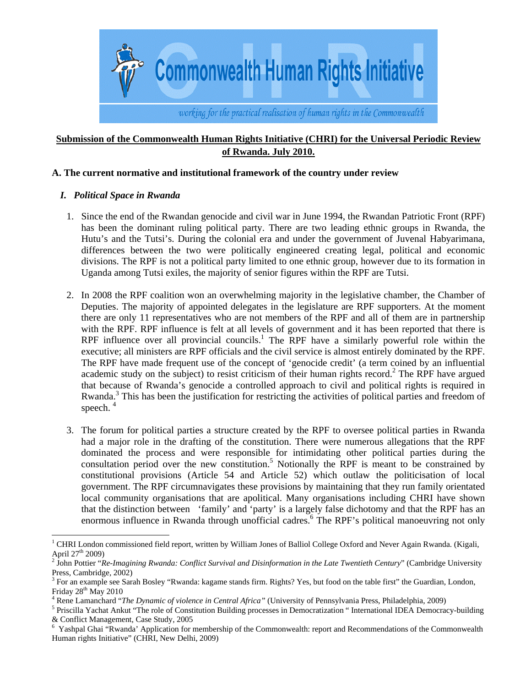

# **Submission of the Commonwealth Human Rights Initiative (CHRI) for the Universal Periodic Review of Rwanda. July 2010.**

#### **A. The current normative and institutional framework of the country under review**

### *I. Political Space in Rwanda*

- 1. Since the end of the Rwandan genocide and civil war in June 1994, the Rwandan Patriotic Front (RPF) has been the dominant ruling political party. There are two leading ethnic groups in Rwanda, the Hutu's and the Tutsi's. During the colonial era and under the government of Juvenal Habyarimana, differences between the two were politically engineered creating legal, political and economic divisions. The RPF is not a political party limited to one ethnic group, however due to its formation in Uganda among Tutsi exiles, the majority of senior figures within the RPF are Tutsi.
- 2. In 2008 the RPF coalition won an overwhelming majority in the legislative chamber, the Chamber of Deputies. The majority of appointed delegates in the legislature are RPF supporters. At the moment there are only 11 representatives who are not members of the RPF and all of them are in partnership with the RPF. RPF influence is felt at all levels of government and it has been reported that there is RPF influence over all provincial councils.<sup>1</sup> The RPF have a similarly powerful role within the executive; all ministers are RPF officials and the civil service is almost entirely dominated by the RPF. The RPF have made frequent use of the concept of 'genocide credit' (a term coined by an influential academic study on the subject) to resist criticism of their human rights record.<sup>2</sup> The RPF have argued that because of Rwanda's genocide a controlled approach to civil and political rights is required in Rwanda.<sup>3</sup> This has been the justification for restricting the activities of political parties and freedom of speech.<sup>4</sup>
- 3. The forum for political parties a structure created by the RPF to oversee political parties in Rwanda had a major role in the drafting of the constitution. There were numerous allegations that the RPF dominated the process and were responsible for intimidating other political parties during the consultation period over the new constitution.<sup>5</sup> Notionally the RPF is meant to be constrained by constitutional provisions (Article 54 and Article 52) which outlaw the politicisation of local government. The RPF circumnavigates these provisions by maintaining that they run family orientated local community organisations that are apolitical. Many organisations including CHRI have shown that the distinction between 'family' and 'party' is a largely false dichotomy and that the RPF has an enormous influence in Rwanda through unofficial cadres.<sup>6</sup> The RPF's political manoeuvring not only

 $\overline{a}$  $1$  CHRI London commissioned field report, written by William Jones of Balliol College Oxford and Never Again Rwanda. (Kigali, April 27<sup>th</sup> 2009)<br><sup>2</sup> John Pottier "*Re-Imagining Rwanda: Conflict Survival and Disinformation in the Late Twentieth Century*" (Cambridge University

Press, Cambridge, 2002)

<sup>&</sup>lt;sup>3</sup> For an example see Sarah Bosley "Rwanda: kagame stands firm. Rights? Yes, but food on the table first" the Guardian, London, Friday  $28<sup>th</sup>$  May  $2010$ 

<sup>&</sup>lt;sup>4</sup> Rene Lamanchard "*The Dynamic of violence in Central Africa*" (University of Pennsylvania Press, Philadelphia, 2009)

<sup>&</sup>lt;sup>5</sup> Priscilla Yachat Ankut "The role of Constitution Building processes in Democratization " International IDEA Democracy-building & Conflict Management, Case Study, 2005

<sup>6</sup> Yashpal Ghai "Rwanda' Application for membership of the Commonwealth: report and Recommendations of the Commonwealth Human rights Initiative" (CHRI, New Delhi, 2009)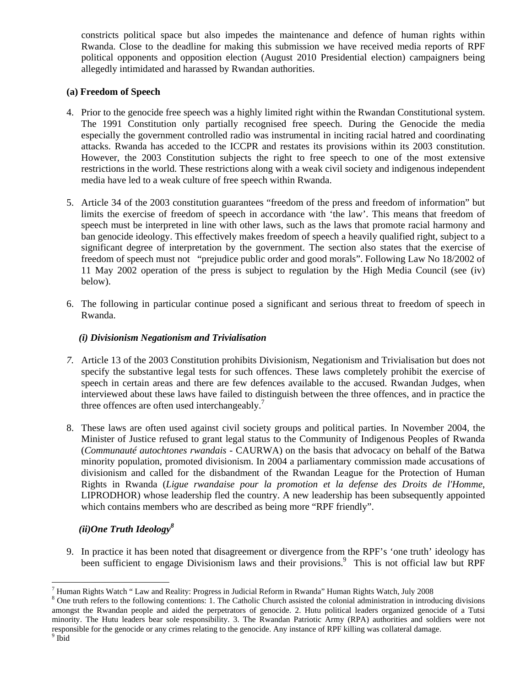constricts political space but also impedes the maintenance and defence of human rights within Rwanda. Close to the deadline for making this submission we have received media reports of RPF political opponents and opposition election (August 2010 Presidential election) campaigners being allegedly intimidated and harassed by Rwandan authorities.

### **(a) Freedom of Speech**

- 4. Prior to the genocide free speech was a highly limited right within the Rwandan Constitutional system. The 1991 Constitution only partially recognised free speech. During the Genocide the media especially the government controlled radio was instrumental in inciting racial hatred and coordinating attacks. Rwanda has acceded to the ICCPR and restates its provisions within its 2003 constitution. However, the 2003 Constitution subjects the right to free speech to one of the most extensive restrictions in the world. These restrictions along with a weak civil society and indigenous independent media have led to a weak culture of free speech within Rwanda.
- 5. Article 34 of the 2003 constitution guarantees "freedom of the press and freedom of information" but limits the exercise of freedom of speech in accordance with 'the law'. This means that freedom of speech must be interpreted in line with other laws, such as the laws that promote racial harmony and ban genocide ideology. This effectively makes freedom of speech a heavily qualified right, subject to a significant degree of interpretation by the government. The section also states that the exercise of freedom of speech must not "prejudice public order and good morals". Following Law No 18/2002 of 11 May 2002 operation of the press is subject to regulation by the High Media Council (see (iv) below).
- 6. The following in particular continue posed a significant and serious threat to freedom of speech in Rwanda.

# *(i) Divisionism Negationism and Trivialisation*

- *7.* Article 13 of the 2003 Constitution prohibits Divisionism, Negationism and Trivialisation but does not specify the substantive legal tests for such offences. These laws completely prohibit the exercise of speech in certain areas and there are few defences available to the accused. Rwandan Judges, when interviewed about these laws have failed to distinguish between the three offences, and in practice the three offences are often used interchangeably.<sup>7</sup>
- 8. These laws are often used against civil society groups and political parties. In November 2004, the Minister of Justice refused to grant legal status to the Community of Indigenous Peoples of Rwanda (*Communauté autochtones rwandais* - CAURWA) on the basis that advocacy on behalf of the Batwa minority population, promoted divisionism. In 2004 a parliamentary commission made accusations of divisionism and called for the disbandment of the Rwandan League for the Protection of Human Rights in Rwanda (*Ligue rwandaise pour la promotion et la defense des Droits de l'Homme*, LIPRODHOR) whose leadership fled the country. A new leadership has been subsequently appointed which contains members who are described as being more "RPF friendly".

# *(ii)One Truth Ideology<sup>8</sup>*

9. In practice it has been noted that disagreement or divergence from the RPF's 'one truth' ideology has been sufficient to engage Divisionism laws and their provisions.<sup>9</sup> This is not official law but RPF

 $\overline{a}$ <sup>7</sup> Human Rights Watch " Law and Reality: Progress in Judicial Reform in Rwanda" Human Rights Watch, July 2008

<sup>&</sup>lt;sup>8</sup> One truth refers to the following contentions: 1. The Catholic Church assisted the colonial administration in introducing divisions amongst the Rwandan people and aided the perpetrators of genocide. 2. Hutu political leaders organized genocide of a Tutsi minority. The Hutu leaders bear sole responsibility. 3. The Rwandan Patriotic Army (RPA) authorities and soldiers were not responsible for the genocide or any crimes relating to the genocide. Any instance of RPF killing was collateral damage.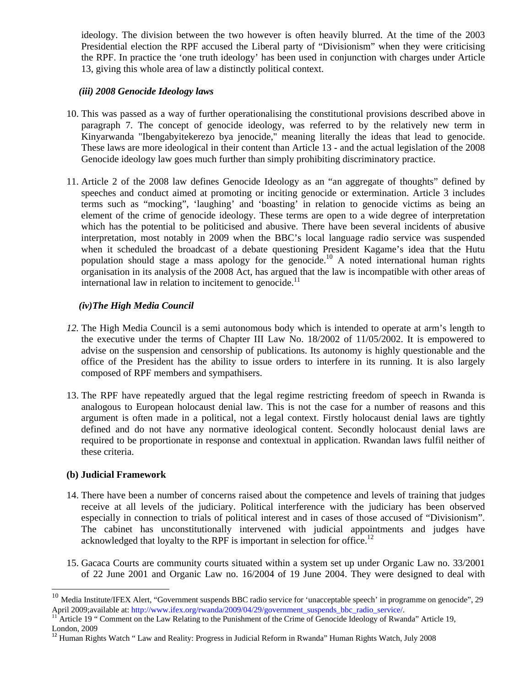ideology. The division between the two however is often heavily blurred. At the time of the 2003 Presidential election the RPF accused the Liberal party of "Divisionism" when they were criticising the RPF. In practice the 'one truth ideology' has been used in conjunction with charges under Article 13, giving this whole area of law a distinctly political context.

#### *(iii) 2008 Genocide Ideology laws*

- 10. This was passed as a way of further operationalising the constitutional provisions described above in paragraph 7. The concept of genocide ideology, was referred to by the relatively new term in Kinyarwanda "Ibengabyitekerezo bya jenocide," meaning literally the ideas that lead to genocide. These laws are more ideological in their content than Article 13 - and the actual legislation of the 2008 Genocide ideology law goes much further than simply prohibiting discriminatory practice.
- 11. Article 2 of the 2008 law defines Genocide Ideology as an "an aggregate of thoughts" defined by speeches and conduct aimed at promoting or inciting genocide or extermination. Article 3 includes terms such as "mocking", 'laughing' and 'boasting' in relation to genocide victims as being an element of the crime of genocide ideology. These terms are open to a wide degree of interpretation which has the potential to be politicised and abusive. There have been several incidents of abusive interpretation, most notably in 2009 when the BBC's local language radio service was suspended when it scheduled the broadcast of a debate questioning President Kagame's idea that the Hutu population should stage a mass apology for the genocide.<sup>10</sup> A noted international human rights organisation in its analysis of the 2008 Act, has argued that the law is incompatible with other areas of international law in relation to incitement to genocide.<sup>11</sup>

# *(iv)The High Media Council*

- *12.* The High Media Council is a semi autonomous body which is intended to operate at arm's length to the executive under the terms of Chapter III Law No. 18/2002 of 11/05/2002. It is empowered to advise on the suspension and censorship of publications. Its autonomy is highly questionable and the office of the President has the ability to issue orders to interfere in its running. It is also largely composed of RPF members and sympathisers.
- 13. The RPF have repeatedly argued that the legal regime restricting freedom of speech in Rwanda is analogous to European holocaust denial law. This is not the case for a number of reasons and this argument is often made in a political, not a legal context. Firstly holocaust denial laws are tightly defined and do not have any normative ideological content. Secondly holocaust denial laws are required to be proportionate in response and contextual in application. Rwandan laws fulfil neither of these criteria.

#### **(b) Judicial Framework**

- 14. There have been a number of concerns raised about the competence and levels of training that judges receive at all levels of the judiciary. Political interference with the judiciary has been observed especially in connection to trials of political interest and in cases of those accused of "Divisionism". The cabinet has unconstitutionally intervened with judicial appointments and judges have acknowledged that loyalty to the RPF is important in selection for office.<sup>12</sup>
- 15. Gacaca Courts are community courts situated within a system set up under Organic Law no. 33/2001 of 22 June 2001 and Organic Law no. 16/2004 of 19 June 2004. They were designed to deal with

 $\overline{a}$ 

 $10$  Media Institute/IFEX Alert, "Government suspends BBC radio service for 'unacceptable speech' in programme on genocide", 29 April 2009;available at: http://www.ifex.org/rwanda/2009/04/29/government\_suspends\_bbc\_radio\_service/.<br><sup>11</sup> Article 19 " Comment on the Law Relating to the Punishment of the Crime of Genocide Ideology of Rwanda" Article 19

London, 2009

<sup>&</sup>lt;sup>12</sup> Human Rights Watch " Law and Reality: Progress in Judicial Reform in Rwanda" Human Rights Watch, July 2008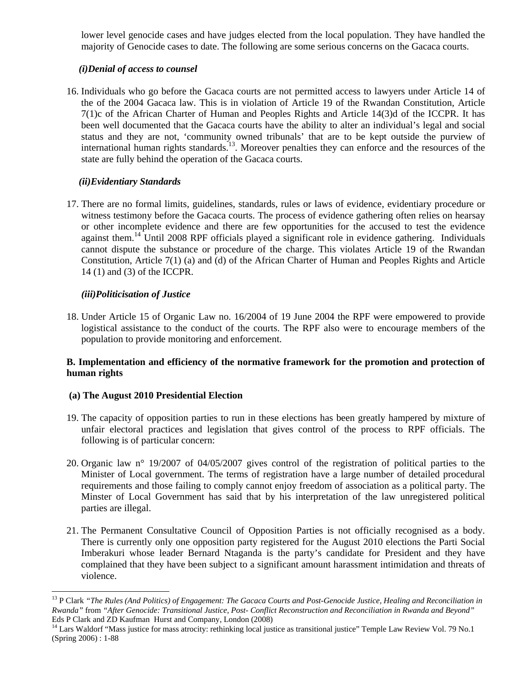lower level genocide cases and have judges elected from the local population. They have handled the majority of Genocide cases to date. The following are some serious concerns on the Gacaca courts.

# *(i)Denial of access to counsel*

16. Individuals who go before the Gacaca courts are not permitted access to lawyers under Article 14 of the of the 2004 Gacaca law. This is in violation of Article 19 of the Rwandan Constitution, Article 7(1)c of the African Charter of Human and Peoples Rights and Article 14(3)d of the ICCPR. It has been well documented that the Gacaca courts have the ability to alter an individual's legal and social status and they are not, 'community owned tribunals' that are to be kept outside the purview of international human rights standards.<sup>13</sup>. Moreover penalties they can enforce and the resources of the state are fully behind the operation of the Gacaca courts.

# *(ii)Evidentiary Standards*

17. There are no formal limits, guidelines, standards, rules or laws of evidence, evidentiary procedure or witness testimony before the Gacaca courts. The process of evidence gathering often relies on hearsay or other incomplete evidence and there are few opportunities for the accused to test the evidence against them.<sup>14</sup> Until 2008 RPF officials played a significant role in evidence gathering. Individuals cannot dispute the substance or procedure of the charge. This violates Article 19 of the Rwandan Constitution, Article 7(1) (a) and (d) of the African Charter of Human and Peoples Rights and Article 14 (1) and (3) of the ICCPR.

### *(iii)Politicisation of Justice*

 $\overline{a}$ 

18. Under Article 15 of Organic Law no. 16/2004 of 19 June 2004 the RPF were empowered to provide logistical assistance to the conduct of the courts. The RPF also were to encourage members of the population to provide monitoring and enforcement.

### **B. Implementation and efficiency of the normative framework for the promotion and protection of human rights**

#### **(a) The August 2010 Presidential Election**

- 19. The capacity of opposition parties to run in these elections has been greatly hampered by mixture of unfair electoral practices and legislation that gives control of the process to RPF officials. The following is of particular concern:
- 20. Organic law n° 19/2007 of 04/05/2007 gives control of the registration of political parties to the Minister of Local government. The terms of registration have a large number of detailed procedural requirements and those failing to comply cannot enjoy freedom of association as a political party. The Minster of Local Government has said that by his interpretation of the law unregistered political parties are illegal.
- 21. The Permanent Consultative Council of Opposition Parties is not officially recognised as a body. There is currently only one opposition party registered for the August 2010 elections the Parti Social Imberakuri whose leader Bernard Ntaganda is the party's candidate for President and they have complained that they have been subject to a significant amount harassment intimidation and threats of violence.

<sup>&</sup>lt;sup>13</sup> P Clark "The Rules (And Politics) of Engagement: The Gacaca Courts and Post-Genocide Justice, Healing and Reconciliation in *Rwanda"* from *"After Genocide: Transitional Justice, Post- Conflict Reconstruction and Reconciliation in Rwanda and Beyond"* Eds P Clark and ZD Kaufman Hurst and Company, London (2008)

<sup>&</sup>lt;sup>14</sup> Lars Waldorf "Mass justice for mass atrocity: rethinking local justice as transitional justice" Temple Law Review Vol. 79 No.1 (Spring 2006) : 1-88